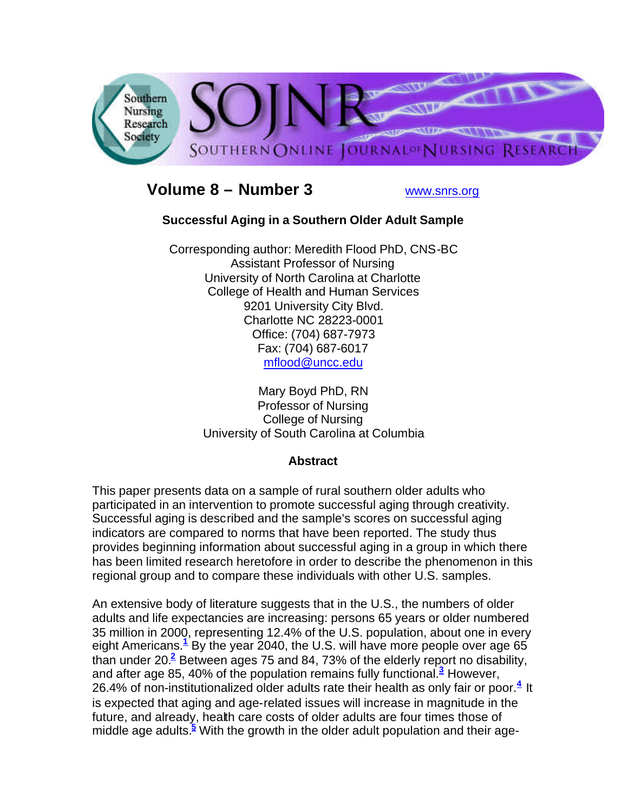

# **Volume 8 – Number 3** www.snrs.org

# **Successful Aging in a Southern Older Adult Sample**

Corresponding author: Meredith Flood PhD, CNS-BC Assistant Professor of Nursing University of North Carolina at Charlotte College of Health and Human Services 9201 University City Blvd. Charlotte NC 28223-0001 Office: (704) 687-7973 Fax: (704) 687-6017 mflood@uncc.edu

> Mary Boyd PhD, RN Professor of Nursing College of Nursing University of South Carolina at Columbia

# **Abstract**

This paper presents data on a sample of rural southern older adults who participated in an intervention to promote successful aging through creativity. Successful aging is described and the sample's scores on successful aging indicators are compared to norms that have been reported. The study thus provides beginning information about successful aging in a group in which there has been limited research heretofore in order to describe the phenomenon in this regional group and to compare these individuals with other U.S. samples.

An extensive body of literature suggests that in the U.S., the numbers of older adults and life expectancies are increasing: persons 65 years or older numbered 35 million in 2000, representing 12.4% of the U.S. population, about one in every eight Americans.**<sup>1</sup>** By the year 2040, the U.S. will have more people over age 65 than under 20.**<sup>2</sup>** Between ages 75 and 84, 73% of the elderly report no disability, and after age 85, 40% of the population remains fully functional.**<sup>3</sup>** However, 26.4% of non-institutionalized older adults rate their health as only fair or poor.**<sup>4</sup>** It is expected that aging and age-related issues will increase in magnitude in the future, and already, health care costs of older adults are four times those of middle age adults.**<sup>5</sup>** With the growth in the older adult population and their age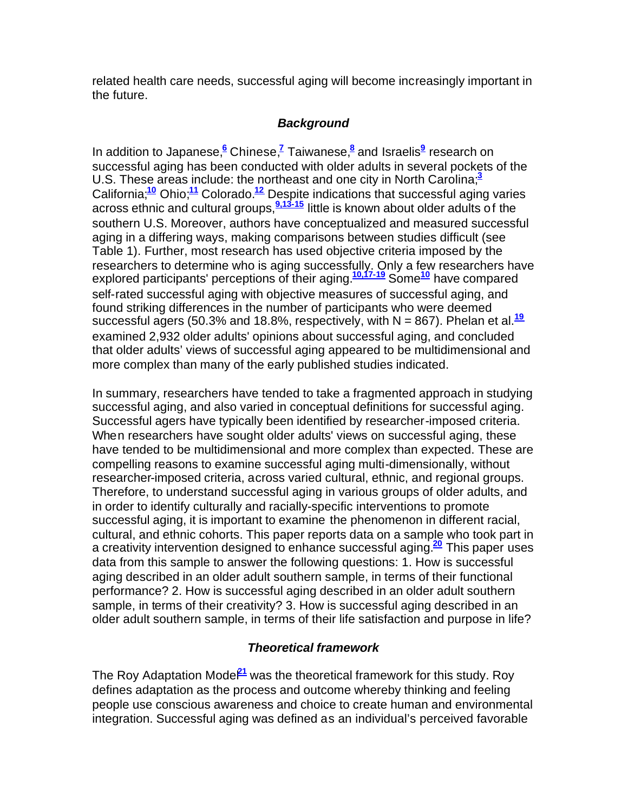related health care needs, successful aging will become increasingly important in the future.

# *Background*

In addition to Japanese,**<sup>6</sup>** Chinese,**<sup>7</sup>** Taiwanese,**<sup>8</sup>** and Israelis**<sup>9</sup>** research on successful aging has been conducted with older adults in several pockets of the U.S. These areas include: the northeast and one city in North Carolina;**<sup>3</sup>** California;**<sup>10</sup>** Ohio;**<sup>11</sup>** Colorado.**<sup>12</sup>** Despite indications that successful aging varies across ethnic and cultural groups,**9,13-15** little is known about older adults of the southern U.S. Moreover, authors have conceptualized and measured successful aging in a differing ways, making comparisons between studies difficult (see Table 1). Further, most research has used objective criteria imposed by the researchers to determine who is aging successfully. Only a few researchers have explored participants' perceptions of their aging.**10,17-19** Some**<sup>10</sup>** have compared self-rated successful aging with objective measures of successful aging, and found striking differences in the number of participants who were deemed successful agers (50.3% and 18.8%, respectively, with N = 867). Phelan et al.**<sup>19</sup>** examined 2,932 older adults' opinions about successful aging, and concluded that older adults' views of successful aging appeared to be multidimensional and more complex than many of the early published studies indicated.

In summary, researchers have tended to take a fragmented approach in studying successful aging, and also varied in conceptual definitions for successful aging. Successful agers have typically been identified by researcher-imposed criteria. When researchers have sought older adults' views on successful aging, these have tended to be multidimensional and more complex than expected. These are compelling reasons to examine successful aging multi-dimensionally, without researcher-imposed criteria, across varied cultural, ethnic, and regional groups. Therefore, to understand successful aging in various groups of older adults, and in order to identify culturally and racially-specific interventions to promote successful aging, it is important to examine the phenomenon in different racial, cultural, and ethnic cohorts. This paper reports data on a sample who took part in a creativity intervention designed to enhance successful aging.**<sup>20</sup>** This paper uses data from this sample to answer the following questions: 1. How is successful aging described in an older adult southern sample, in terms of their functional performance? 2. How is successful aging described in an older adult southern sample, in terms of their creativity? 3. How is successful aging described in an older adult southern sample, in terms of their life satisfaction and purpose in life?

# *Theoretical framework*

The Roy Adaptation Mode<sup>21</sup> was the theoretical framework for this study. Roy defines adaptation as the process and outcome whereby thinking and feeling people use conscious awareness and choice to create human and environmental integration. Successful aging was defined as an individual's perceived favorable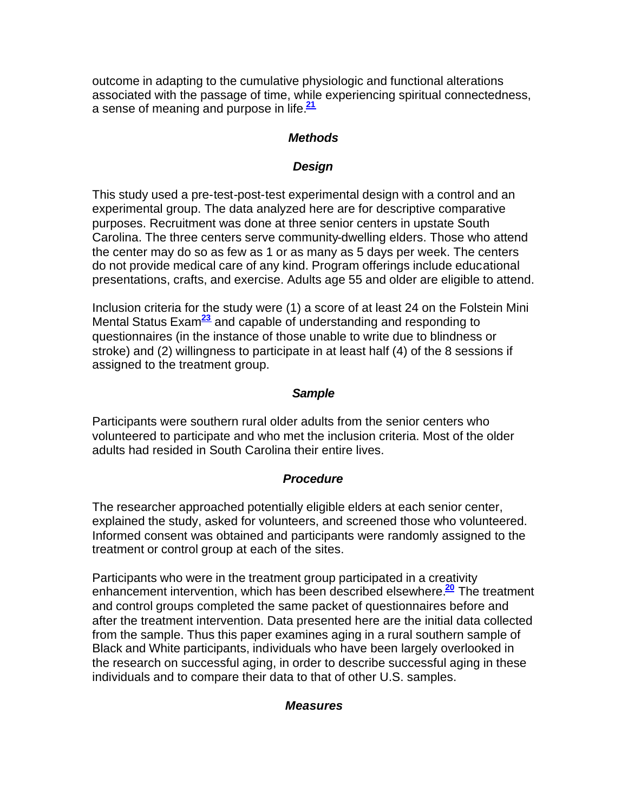outcome in adapting to the cumulative physiologic and functional alterations associated with the passage of time, while experiencing spiritual connectedness, a sense of meaning and purpose in life.**<sup>21</sup>**

# *Methods*

# *Design*

This study used a pre-test-post-test experimental design with a control and an experimental group. The data analyzed here are for descriptive comparative purposes. Recruitment was done at three senior centers in upstate South Carolina. The three centers serve community-dwelling elders. Those who attend the center may do so as few as 1 or as many as 5 days per week. The centers do not provide medical care of any kind. Program offerings include educational presentations, crafts, and exercise. Adults age 55 and older are eligible to attend.

Inclusion criteria for the study were (1) a score of at least 24 on the Folstein Mini Mental Status Exam**<sup>23</sup>** and capable of understanding and responding to questionnaires (in the instance of those unable to write due to blindness or stroke) and (2) willingness to participate in at least half (4) of the 8 sessions if assigned to the treatment group.

# *Sample*

Participants were southern rural older adults from the senior centers who volunteered to participate and who met the inclusion criteria. Most of the older adults had resided in South Carolina their entire lives.

# *Procedure*

The researcher approached potentially eligible elders at each senior center, explained the study, asked for volunteers, and screened those who volunteered. Informed consent was obtained and participants were randomly assigned to the treatment or control group at each of the sites.

Participants who were in the treatment group participated in a creativity enhancement intervention, which has been described elsewhere.**<sup>20</sup>** The treatment and control groups completed the same packet of questionnaires before and after the treatment intervention. Data presented here are the initial data collected from the sample. Thus this paper examines aging in a rural southern sample of Black and White participants, individuals who have been largely overlooked in the research on successful aging, in order to describe successful aging in these individuals and to compare their data to that of other U.S. samples.

#### *Measures*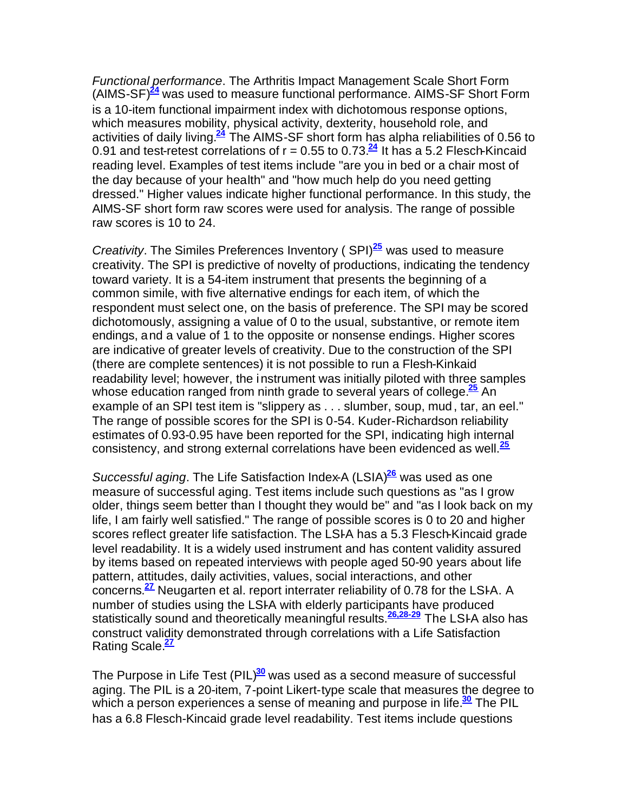*Functional performance*. The Arthritis Impact Management Scale Short Form (AIMS-SF)**<sup>24</sup>** was used to measure functional performance. AIMS-SF Short Form is a 10-item functional impairment index with dichotomous response options, which measures mobility, physical activity, dexterity, household role, and activities of daily living.**<sup>24</sup>** The AIMS-SF short form has alpha reliabilities of 0.56 to 0.91 and test-retest correlations of  $r = 0.55$  to 0.73. $\frac{24}{s}$  It has a 5.2 Flesch-Kincaid reading level. Examples of test items include "are you in bed or a chair most of the day because of your health" and "how much help do you need getting dressed." Higher values indicate higher functional performance. In this study, the AIMS-SF short form raw scores were used for analysis. The range of possible raw scores is 10 to 24.

*Creativity*. The Similes Preferences Inventory ( SPI)**<sup>25</sup>** was used to measure creativity. The SPI is predictive of novelty of productions, indicating the tendency toward variety. It is a 54-item instrument that presents the beginning of a common simile, with five alternative endings for each item, of which the respondent must select one, on the basis of preference. The SPI may be scored dichotomously, assigning a value of 0 to the usual, substantive, or remote item endings, and a value of 1 to the opposite or nonsense endings. Higher scores are indicative of greater levels of creativity. Due to the construction of the SPI (there are complete sentences) it is not possible to run a Flesh-Kinkaid readability level; however, the instrument was initially piloted with three samples whose education ranged from ninth grade to several years of college.<sup>25</sup> An example of an SPI test item is "slippery as . . . slumber, soup, mud, tar, an eel." The range of possible scores for the SPI is 0-54. Kuder-Richardson reliability estimates of 0.93-0.95 have been reported for the SPI, indicating high internal consistency, and strong external correlations have been evidenced as well.**<sup>25</sup>**

*Successful aging*. The Life Satisfaction Index-A (LSIA)**<sup>26</sup>** was used as one measure of successful aging. Test items include such questions as "as I grow older, things seem better than I thought they would be" and "as I look back on my life, I am fairly well satisfied." The range of possible scores is 0 to 20 and higher scores reflect greater life satisfaction. The LSI-A has a 5.3 Flesch-Kincaid grade level readability. It is a widely used instrument and has content validity assured by items based on repeated interviews with people aged 50-90 years about life pattern, attitudes, daily activities, values, social interactions, and other concerns.<sup>27</sup> Neugarten et al. report interrater reliability of 0.78 for the LSI-A. A number of studies using the LSI-A with elderly participants have produced statistically sound and theoretically meaningful results.**26,28-29** The LSI-A also has construct validity demonstrated through correlations with a Life Satisfaction Rating Scale.**<sup>27</sup>**

The Purpose in Life Test (PIL)**<sup>30</sup>** was used as a second measure of successful aging. The PIL is a 20-item, 7-point Likert-type scale that measures the degree to which a person experiences a sense of meaning and purpose in life.**<sup>30</sup>** The PIL has a 6.8 Flesch-Kincaid grade level readability. Test items include questions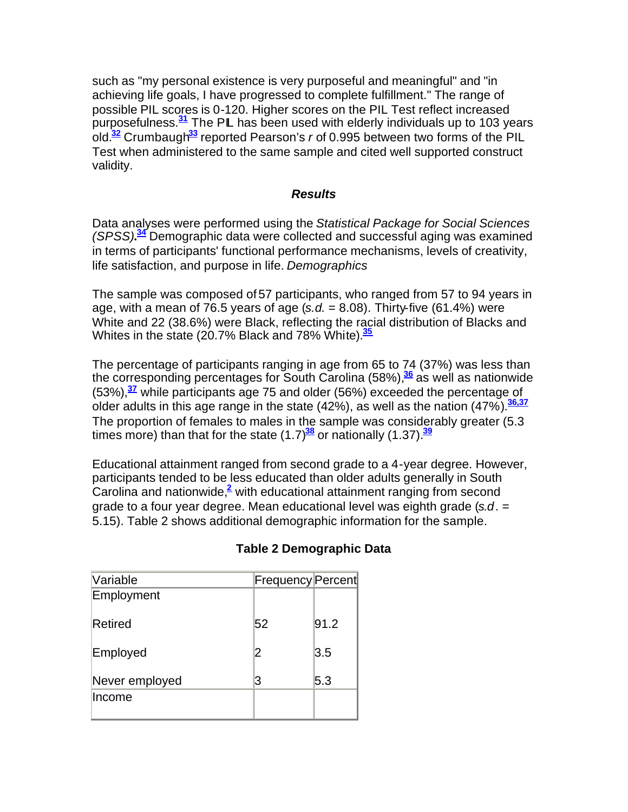such as "my personal existence is very purposeful and meaningful" and "in achieving life goals, I have progressed to complete fulfillment." The range of possible PIL scores is 0-120. Higher scores on the PIL Test reflect increased purposefulness.**<sup>31</sup>** The PIL has been used with elderly individuals up to 103 years old.**<sup>32</sup>** Crumbaugh**<sup>33</sup>** reported Pearson's *r* of 0.995 between two forms of the PIL Test when administered to the same sample and cited well supported construct validity.

#### *Results*

Data analyses were performed using the *Statistical Package for Social Sciences (SPSS)***. <sup>34</sup>** Demographic data were collected and successful aging was examined in terms of participants' functional performance mechanisms, levels of creativity, life satisfaction, and purpose in life. *Demographics*

The sample was composed of 57 participants, who ranged from 57 to 94 years in age, with a mean of 76.5 years of age  $(s.d. = 8.08)$ . Thirty-five  $(61.4\%)$  were White and 22 (38.6%) were Black, reflecting the racial distribution of Blacks and Whites in the state (20.7% Black and 78% White).**<sup>35</sup>**

The percentage of participants ranging in age from 65 to 74 (37%) was less than the corresponding percentages for South Carolina (58%),**<sup>36</sup>** as well as nationwide (53%),**<sup>37</sup>** while participants age 75 and older (56%) exceeded the percentage of older adults in this age range in the state (42%), as well as the nation (47%).**36,37** The proportion of females to males in the sample was considerably greater (5.3 times more) than that for the state (1.7)**<sup>38</sup>** or nationally (1.37).**<sup>39</sup>**

Educational attainment ranged from second grade to a 4-year degree. However, participants tended to be less educated than older adults generally in South Carolina and nationwide,**<sup>2</sup>** with educational attainment ranging from second grade to a four year degree. Mean educational level was eighth grade (*s.d*. = 5.15). Table 2 shows additional demographic information for the sample.

| Variable       | <b>Frequency Percent</b> |      |
|----------------|--------------------------|------|
| Employment     |                          |      |
|                |                          |      |
| Retired        | 52                       | 91.2 |
|                |                          |      |
| Employed       |                          | 3.5  |
| Never employed | 3                        | 5.3  |
| Income         |                          |      |
|                |                          |      |

# **Table 2 Demographic Data**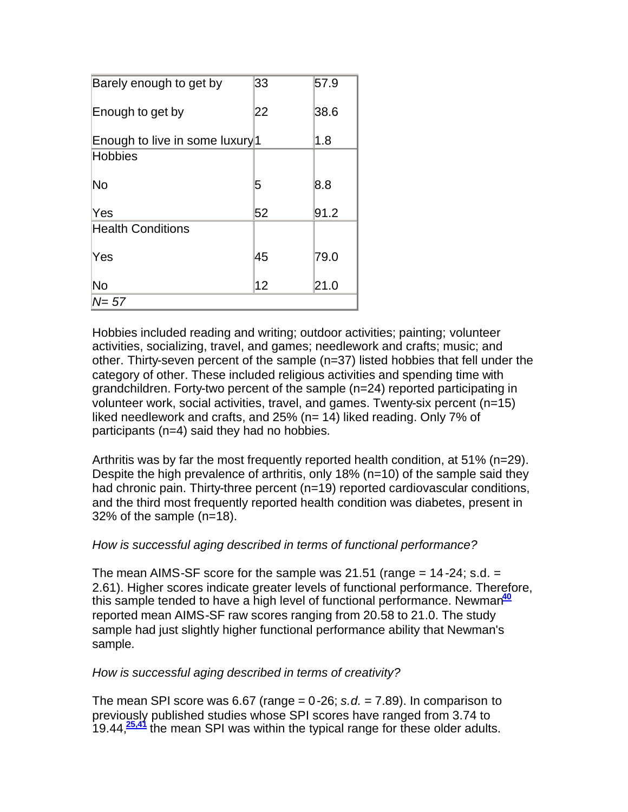| Barely enough to get by         | 33 | 57.9 |
|---------------------------------|----|------|
| Enough to get by                | 22 | 38.6 |
| Enough to live in some luxury 1 |    | 1.8  |
| <b>Hobbies</b>                  |    |      |
| No                              | 5  | 8.8  |
| Yes                             | 52 | 91.2 |
| <b>Health Conditions</b>        |    |      |
| Yes                             | 45 | 79.0 |
| No                              | 12 | 21.0 |
| N= 57                           |    |      |

Hobbies included reading and writing; outdoor activities; painting; volunteer activities, socializing, travel, and games; needlework and crafts; music; and other. Thirty-seven percent of the sample (n=37) listed hobbies that fell under the category of other. These included religious activities and spending time with grandchildren. Forty-two percent of the sample (n=24) reported participating in volunteer work, social activities, travel, and games. Twenty-six percent (n=15) liked needlework and crafts, and 25% (n= 14) liked reading. Only 7% of participants (n=4) said they had no hobbies.

Arthritis was by far the most frequently reported health condition, at 51% (n=29). Despite the high prevalence of arthritis, only 18% (n=10) of the sample said they had chronic pain. Thirty-three percent (n=19) reported cardiovascular conditions, and the third most frequently reported health condition was diabetes, present in 32% of the sample (n=18).

# *How is successful aging described in terms of functional performance?*

The mean AIMS-SF score for the sample was 21.51 (range  $= 14 - 24$ ; s.d.  $=$ 2.61). Higher scores indicate greater levels of functional performance. Therefore, this sample tended to have a high level of functional performance. Newman**<sup>40</sup>** reported mean AIMS-SF raw scores ranging from 20.58 to 21.0. The study sample had just slightly higher functional performance ability that Newman's sample.

# *How is successful aging described in terms of creativity?*

The mean SPI score was 6.67 (range  $= 0.26$ ; *s.d.*  $= 7.89$ ). In comparison to previously published studies whose SPI scores have ranged from 3.74 to 19.44,**25,41** the mean SPI was within the typical range for these older adults.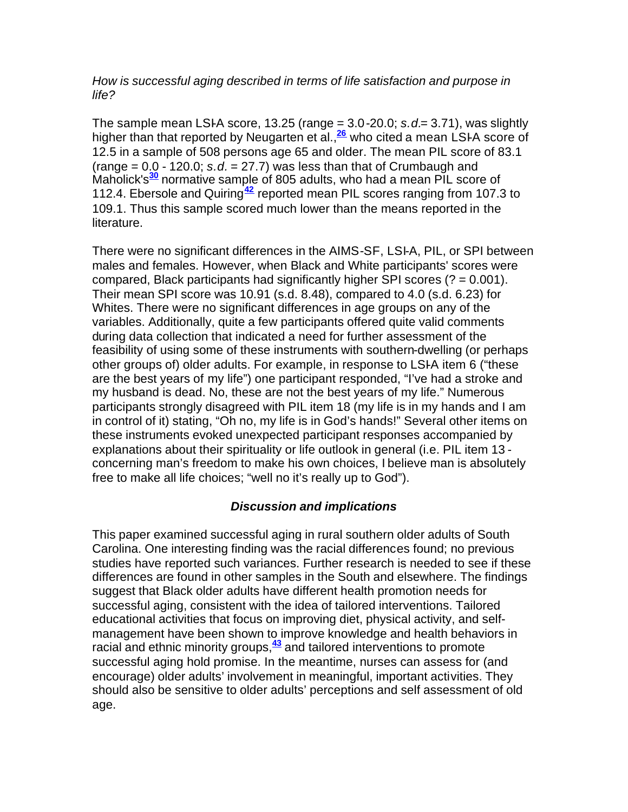# *How is successful aging described in terms of life satisfaction and purpose in life?*

The sample mean LSI-A score, 13.25 (range  $= 3.0$ -20.0; *s.d*  $= 3.71$ ), was slightly higher than that reported by Neugarten et al.,**<sup>26</sup>** who cited a mean LSI-A score of 12.5 in a sample of 508 persons age 65 and older. The mean PIL score of 83.1  $(range = 0.0 - 120.0; s.d. = 27.7)$  was less than that of Crumbaugh and Maholick's**<sup>30</sup>** normative sample of 805 adults, who had a mean PIL score of 112.4. Ebersole and Quiring**<sup>42</sup>** reported mean PIL scores ranging from 107.3 to 109.1. Thus this sample scored much lower than the means reported in the literature.

There were no significant differences in the AIMS-SF, LSI-A, PIL, or SPI between males and females. However, when Black and White participants' scores were compared, Black participants had significantly higher SPI scores  $(2 = 0.001)$ . Their mean SPI score was 10.91 (s.d. 8.48), compared to 4.0 (s.d. 6.23) for Whites. There were no significant differences in age groups on any of the variables. Additionally, quite a few participants offered quite valid comments during data collection that indicated a need for further assessment of the feasibility of using some of these instruments with southern-dwelling (or perhaps other groups of) older adults. For example, in response to LSI-A item 6 ("these are the best years of my life") one participant responded, "I've had a stroke and my husband is dead. No, these are not the best years of my life." Numerous participants strongly disagreed with PIL item 18 (my life is in my hands and I am in control of it) stating, "Oh no, my life is in God's hands!" Several other items on these instruments evoked unexpected participant responses accompanied by explanations about their spirituality or life outlook in general (i.e. PIL item 13 concerning man's freedom to make his own choices, I believe man is absolutely free to make all life choices; "well no it's really up to God").

# *Discussion and implications*

This paper examined successful aging in rural southern older adults of South Carolina. One interesting finding was the racial differences found; no previous studies have reported such variances. Further research is needed to see if these differences are found in other samples in the South and elsewhere. The findings suggest that Black older adults have different health promotion needs for successful aging, consistent with the idea of tailored interventions. Tailored educational activities that focus on improving diet, physical activity, and selfmanagement have been shown to improve knowledge and health behaviors in racial and ethnic minority groups,**<sup>43</sup>** and tailored interventions to promote successful aging hold promise. In the meantime, nurses can assess for (and encourage) older adults' involvement in meaningful, important activities. They should also be sensitive to older adults' perceptions and self assessment of old age.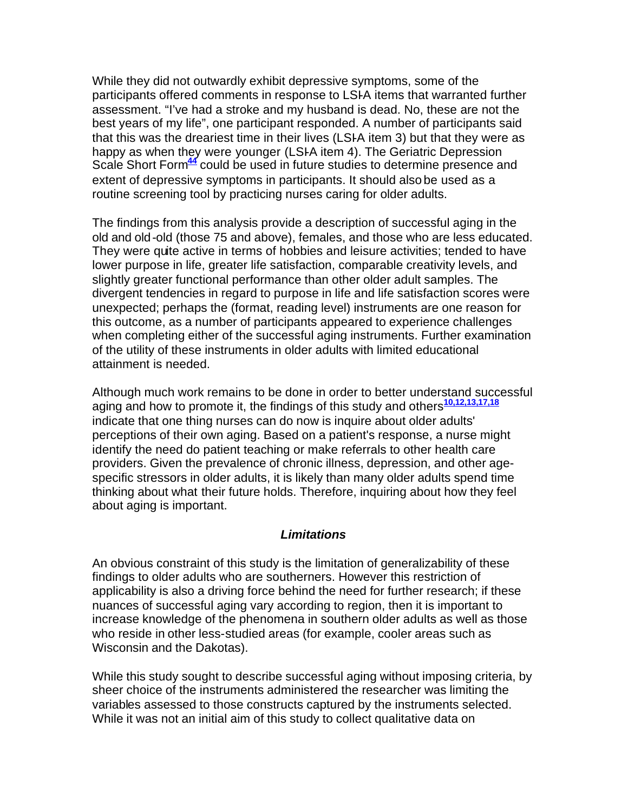While they did not outwardly exhibit depressive symptoms, some of the participants offered comments in response to LSI-A items that warranted further assessment. "I've had a stroke and my husband is dead. No, these are not the best years of my life", one participant responded. A number of participants said that this was the dreariest time in their lives (LSI-A item 3) but that they were as happy as when they were younger (LSI-A item 4). The Geriatric Depression Scale Short Form**<sup>44</sup>** could be used in future studies to determine presence and extent of depressive symptoms in participants. It should also be used as a routine screening tool by practicing nurses caring for older adults.

The findings from this analysis provide a description of successful aging in the old and old-old (those 75 and above), females, and those who are less educated. They were quite active in terms of hobbies and leisure activities; tended to have lower purpose in life, greater life satisfaction, comparable creativity levels, and slightly greater functional performance than other older adult samples. The divergent tendencies in regard to purpose in life and life satisfaction scores were unexpected; perhaps the (format, reading level) instruments are one reason for this outcome, as a number of participants appeared to experience challenges when completing either of the successful aging instruments. Further examination of the utility of these instruments in older adults with limited educational attainment is needed.

Although much work remains to be done in order to better understand successful aging and how to promote it, the findings of this study and others**10,12,13,17,18** indicate that one thing nurses can do now is inquire about older adults' perceptions of their own aging. Based on a patient's response, a nurse might identify the need do patient teaching or make referrals to other health care providers. Given the prevalence of chronic illness, depression, and other agespecific stressors in older adults, it is likely than many older adults spend time thinking about what their future holds. Therefore, inquiring about how they feel about aging is important.

#### *Limitations*

An obvious constraint of this study is the limitation of generalizability of these findings to older adults who are southerners. However this restriction of applicability is also a driving force behind the need for further research; if these nuances of successful aging vary according to region, then it is important to increase knowledge of the phenomena in southern older adults as well as those who reside in other less-studied areas (for example, cooler areas such as Wisconsin and the Dakotas).

While this study sought to describe successful aging without imposing criteria, by sheer choice of the instruments administered the researcher was limiting the variables assessed to those constructs captured by the instruments selected. While it was not an initial aim of this study to collect qualitative data on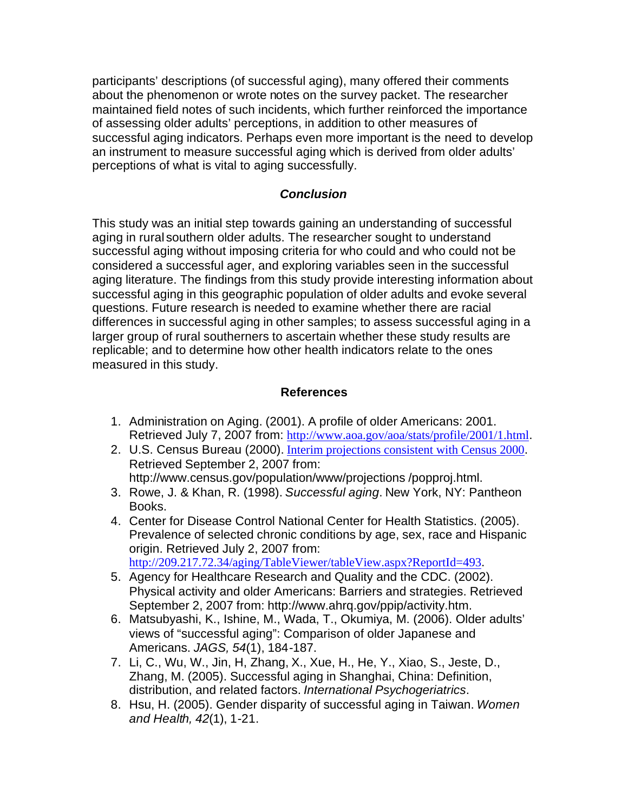participants' descriptions (of successful aging), many offered their comments about the phenomenon or wrote notes on the survey packet. The researcher maintained field notes of such incidents, which further reinforced the importance of assessing older adults' perceptions, in addition to other measures of successful aging indicators. Perhaps even more important is the need to develop an instrument to measure successful aging which is derived from older adults' perceptions of what is vital to aging successfully.

# *Conclusion*

This study was an initial step towards gaining an understanding of successful aging in rural southern older adults. The researcher sought to understand successful aging without imposing criteria for who could and who could not be considered a successful ager, and exploring variables seen in the successful aging literature. The findings from this study provide interesting information about successful aging in this geographic population of older adults and evoke several questions. Future research is needed to examine whether there are racial differences in successful aging in other samples; to assess successful aging in a larger group of rural southerners to ascertain whether these study results are replicable; and to determine how other health indicators relate to the ones measured in this study.

# **References**

- 1. Administration on Aging. (2001). A profile of older Americans: 2001. Retrieved July 7, 2007 from: http://www.aoa.gov/aoa/stats/profile/2001/1.html.
- 2. U.S. Census Bureau (2000). Interim projections consistent with Census 2000. Retrieved September 2, 2007 from: http://www.census.gov/population/www/projections /popproj.html.
- 3. Rowe, J. & Khan, R. (1998). *Successful aging*. New York, NY: Pantheon Books.
- 4. Center for Disease Control National Center for Health Statistics. (2005). Prevalence of selected chronic conditions by age, sex, race and Hispanic origin. Retrieved July 2, 2007 from: http://209.217.72.34/aging/TableViewer/tableView.aspx?ReportId=493.
- 5. Agency for Healthcare Research and Quality and the CDC. (2002). Physical activity and older Americans: Barriers and strategies. Retrieved September 2, 2007 from: http://www.ahrq.gov/ppip/activity.htm.
- 6. Matsubyashi, K., Ishine, M., Wada, T., Okumiya, M. (2006). Older adults' views of "successful aging": Comparison of older Japanese and Americans. *JAGS, 54*(1), 184-187.
- 7. Li, C., Wu, W., Jin, H, Zhang, X., Xue, H., He, Y., Xiao, S., Jeste, D., Zhang, M. (2005). Successful aging in Shanghai, China: Definition, distribution, and related factors. *International Psychogeriatrics*.
- 8. Hsu, H. (2005). Gender disparity of successful aging in Taiwan. *Women and Health, 42*(1), 1-21.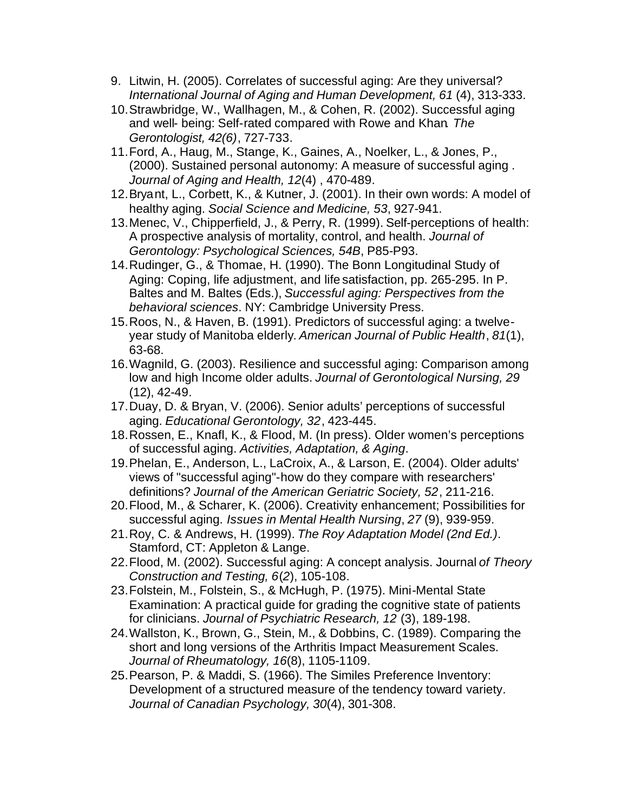- 9. Litwin, H. (2005). Correlates of successful aging: Are they universal? *International Journal of Aging and Human Development, 61* (4), 313-333.
- 10.Strawbridge, W., Wallhagen, M., & Cohen, R. (2002). Successful aging and well- being: Self-rated compared with Rowe and Khan*. The Gerontologist, 42(6)*, 727-733.
- 11.Ford, A., Haug, M., Stange, K., Gaines, A., Noelker, L., & Jones, P., (2000). Sustained personal autonomy: A measure of successful aging . *Journal of Aging and Health, 12*(4) , 470-489.
- 12.Bryant, L., Corbett, K., & Kutner, J. (2001). In their own words: A model of healthy aging. *Social Science and Medicine, 53*, 927-941.
- 13.Menec, V., Chipperfield, J., & Perry, R. (1999). Self-perceptions of health: A prospective analysis of mortality, control, and health. *Journal of Gerontology: Psychological Sciences, 54B*, P85-P93.
- 14.Rudinger, G., & Thomae, H. (1990). The Bonn Longitudinal Study of Aging: Coping, life adjustment, and life satisfaction, pp. 265-295. In P. Baltes and M. Baltes (Eds.), *Successful aging: Perspectives from the behavioral sciences*. NY: Cambridge University Press.
- 15.Roos, N., & Haven, B. (1991). Predictors of successful aging: a twelveyear study of Manitoba elderly. *American Journal of Public Health*, *81*(1), 63-68.
- 16.Wagnild, G. (2003). Resilience and successful aging: Comparison among low and high Income older adults. *Journal of Gerontological Nursing, 29* (12), 42-49.
- 17.Duay, D. & Bryan, V. (2006). Senior adults' perceptions of successful aging. *Educational Gerontology, 32*, 423-445.
- 18.Rossen, E., Knafl, K., & Flood, M. (In press). Older women's perceptions of successful aging. *Activities, Adaptation, & Aging*.
- 19.Phelan, E., Anderson, L., LaCroix, A., & Larson, E. (2004). Older adults' views of "successful aging"-how do they compare with researchers' definitions? *Journal of the American Geriatric Society, 52*, 211-216.
- 20.Flood, M., & Scharer, K. (2006). Creativity enhancement; Possibilities for successful aging. *Issues in Mental Health Nursing*, *27* (9), 939-959.
- 21.Roy, C. & Andrews, H. (1999). *The Roy Adaptation Model (2nd Ed.)*. Stamford, CT: Appleton & Lange.
- 22.Flood, M. (2002). Successful aging: A concept analysis. Journal *of Theory Construction and Testing, 6*(*2*), 105-108.
- 23.Folstein, M., Folstein, S., & McHugh, P. (1975). Mini-Mental State Examination: A practical guide for grading the cognitive state of patients for clinicians. *Journal of Psychiatric Research, 12* (3), 189-198.
- 24.Wallston, K., Brown, G., Stein, M., & Dobbins, C. (1989). Comparing the short and long versions of the Arthritis Impact Measurement Scales. *Journal of Rheumatology, 16*(8), 1105-1109.
- 25.Pearson, P. & Maddi, S. (1966). The Similes Preference Inventory: Development of a structured measure of the tendency toward variety. *Journal of Canadian Psychology, 30*(4), 301-308.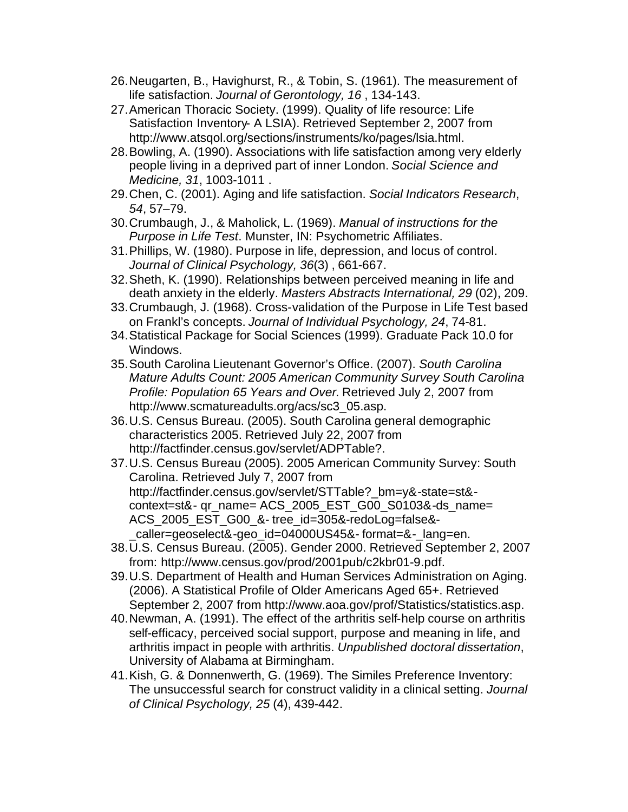- 26.Neugarten, B., Havighurst, R., & Tobin, S. (1961). The measurement of life satisfaction. *Journal of Gerontology, 16* , 134-143.
- 27.American Thoracic Society. (1999). Quality of life resource: Life Satisfaction Inventory- A LSIA). Retrieved September 2, 2007 from http://www.atsqol.org/sections/instruments/ko/pages/lsia.html.
- 28.Bowling, A. (1990). Associations with life satisfaction among very elderly people living in a deprived part of inner London. *Social Science and Medicine, 31*, 1003-1011 .
- 29.Chen, C. (2001). Aging and life satisfaction. *Social Indicators Research*, *54*, 57–79.
- 30.Crumbaugh, J., & Maholick, L. (1969). *Manual of instructions for the Purpose in Life Test*. Munster, IN: Psychometric Affiliates.
- 31.Phillips, W. (1980). Purpose in life, depression, and locus of control. *Journal of Clinical Psychology, 36*(3) , 661-667.
- 32.Sheth, K. (1990). Relationships between perceived meaning in life and death anxiety in the elderly. *Masters Abstracts International, 29* (02), 209.
- 33.Crumbaugh, J. (1968). Cross-validation of the Purpose in Life Test based on Frankl's concepts. *Journal of Individual Psychology, 24*, 74-81.
- 34.Statistical Package for Social Sciences (1999). Graduate Pack 10.0 for Windows.
- 35.South Carolina Lieutenant Governor's Office. (2007). *South Carolina Mature Adults Count: 2005 American Community Survey South Carolina Profile: Population 65 Years and Over.* Retrieved July 2, 2007 from http://www.scmatureadults.org/acs/sc3\_05.asp.
- 36.U.S. Census Bureau. (2005). South Carolina general demographic characteristics 2005. Retrieved July 22, 2007 from http://factfinder.census.gov/servlet/ADPTable?.
- 37.U.S. Census Bureau (2005). 2005 American Community Survey: South Carolina. Retrieved July 7, 2007 from http://factfinder.census.gov/servlet/STTable? bm=y&-state=st&context=st&- qr\_name= ACS\_2005\_EST\_G00\_S0103&-ds\_name= ACS 2005 EST G00 &- tree\_id=305&-redoLog=false&caller=geoselect&-geo\_id=04000US45&- format=&-\_lang=en.
- 38.U.S. Census Bureau. (2005). Gender 2000. Retrieved September 2, 2007 from: http://www.census.gov/prod/2001pub/c2kbr01-9.pdf.
- 39.U.S. Department of Health and Human Services Administration on Aging. (2006). A Statistical Profile of Older Americans Aged 65+. Retrieved September 2, 2007 from http://www.aoa.gov/prof/Statistics/statistics.asp.
- 40.Newman, A. (1991). The effect of the arthritis self-help course on arthritis self-efficacy, perceived social support, purpose and meaning in life, and arthritis impact in people with arthritis. *Unpublished doctoral dissertation*, University of Alabama at Birmingham.
- 41.Kish, G. & Donnenwerth, G. (1969). The Similes Preference Inventory: The unsuccessful search for construct validity in a clinical setting. *Journal of Clinical Psychology, 25* (4), 439-442.